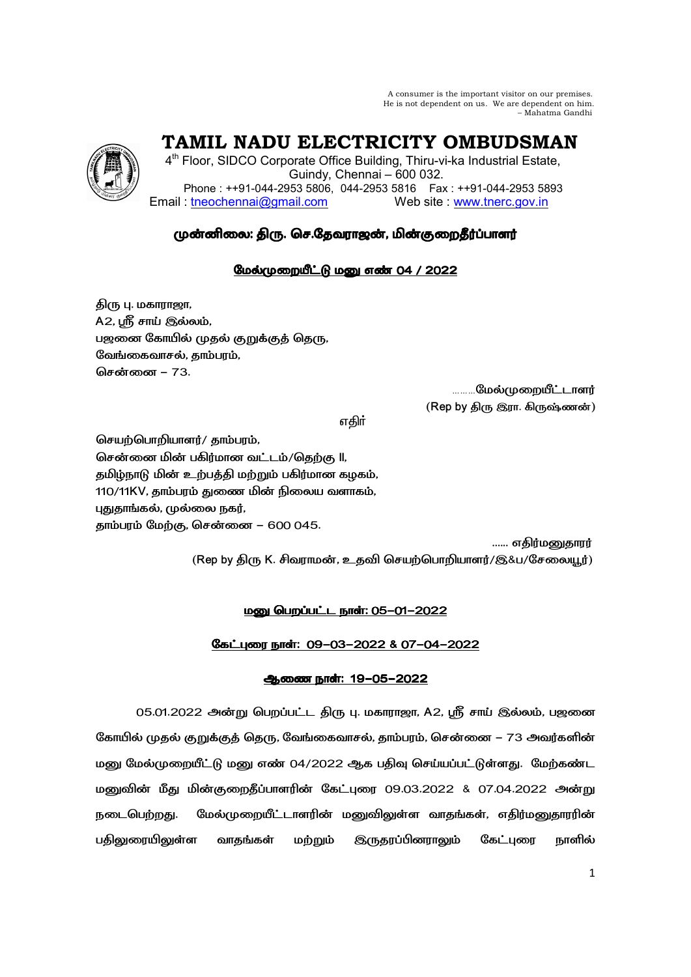A consumer is the important visitor on our premises. He is not dependent on us. We are dependent on him. – Mahatma Gandhi

 **TAMIL NADU ELECTRICITY OMBUDSMAN** 

4<sup>th</sup> Floor, SIDCO Corporate Office Building, Thiru-vi-ka Industrial Estate, Guindy, Chennai – 600 032. Phone : ++91-044-2953 5806, 044-2953 5816 Fax : ++91-044-2953 5893 Email : tneochennai@gmail.com Web site : www.tnerc.gov.in

# முன்னிலை: திரு. செ.தேவராஜன், மின்குறைதீர்ப்பாளர்

## மேல்முறையீட்டு மனு எண் 04 / 2022

திரு பு. மகாராஜா, A2, ஸ்ரீ சாய் இல்லம், பஜனை கோயில் முதல் குறுக்குத் தெரு, வேங்கைவாசல், காம்பரம், <mark>சென்னை –</mark> 73.

**.மேல்முறையீட்டாளர்** ் (Rep by திரு இரா. கிருஷ்ணன்)

v®

செயற்பொறியாளர்/ தாம்பரம், சென்னை மின் பகிர்மான வட்டம்/தெற்கு ll, தமிழ்நாடு மின் உற்பத்தி மற்றும் பகிர்மான கழகம், 110/11KV, தாம்பரம் துணை மின் நிலைய வளாகம், புதுதாங்கல், முல்லை நகர், தாம்பரம் மேற்கு, சென்னை – 600 045.

...... எகிர்மனுகாரர்

(Rep by திரு K. சிவராமன், உதவி செயற்பொறியாளர்/இ&ப/சேலையூர்)

## **மனு பெறப்பட்ட நாள்: 05-01-2022**

## )( IW: 09-03-2022& 07-04-2022

## <u>ஆணை நாள்: 19-05-2022</u>

05.01.2022 அன்று பெறப்பட்ட திரு பு. மகாராஜா, A2, ஸ்ரீ சாய் இல்லம், பஜனை கோயில் முதல் குறுக்குத் தெரு, வேங்கைவாசல், தாம்பரம், சென்னை – 73 அவர்களின் மனு மேல்முறையீட்டு மனு எண் 04/2022 ஆக பதிவு செய்யப்பட்டுள்ளது. மேற்கண்ட மனுவின் மீது மின்குறைதீப்பாளரின் கேட்புரை 09.03.2022 & 07.04.2022 அன்று நடைபெற்றது. மேல்முறையீட்டாளரின் மனுவிலுள்ள வாதங்கள், எதிர்மனுதாரரின் பதிலுரையிலுள்ள வாதங்கள் மற்றும் இருதரப்பினராலும் கேட்புரை நாளில்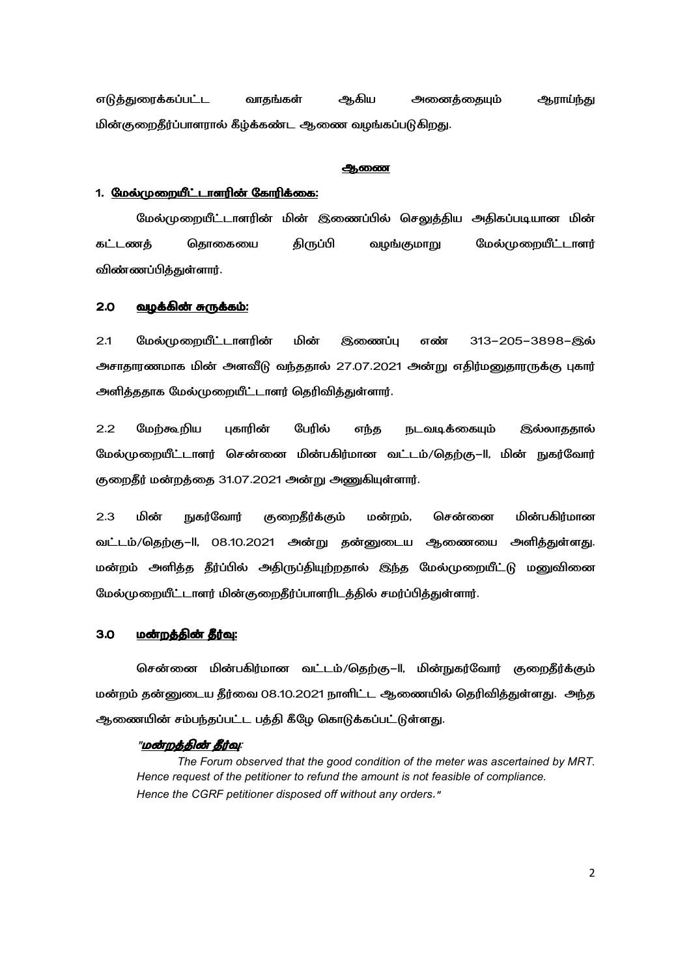எடுத்துரைக்கப்பட்ட வாதங்கள் ஆகிய அனைத்தையும் ஆராய்ந்து மின்குறைதீர்ப்பாளரால் கீழ்க்கண்ட ஆணை வழங்கப்படுகிறது.

#### ஆணை

## 1. <u>மேல்முறையீட்டாளரின் கோரிக்கை:</u>

மேல்முறையீட்டாளரின் மின் இணைப்பில் செலுத்திய அதிகப்படியான மின் கட்டணத் தொகையை திருப்பி வழங்குமாறு மேல்முறையீட்டாளர் விண்ணப்பித்துள்ளார்.

#### <u>2.0 வழக்கின் சுருக்கம்:</u>

2.1 மேல்முறையீட்டாளரின் மின் இணைப்பு எண் 313-205-3898-இல் அசாதாரணமாக மின் அளவீடு வந்ததால் 27.07.2021 அன்று எதிர்மனுதாரருக்கு புகார் அளித்ததாக மேல்முறையீட்டாளர் தெரிவித்துள்ளார்.

2.2 மேற்கூறிய புகாரின் பேரில் எந்த நடவடிக்கையும் இல்லாததால் மேல்முறையீட்டாளர் சென்னை மின்பகிர்மான வட்டம்/தெற்கு—II, மின் நுகர்வோர் குறைதீர் மன்றத்தை 31.07.2021 அன்று அணுகியுள்ளார்.

2.3 மின் நுகர்வோர் குறைதீர்க்கும் மன்றம், றம், சென்னை மின் மின்பகிர்மான வட்டம்/தெற்கு–ll, 08.10.2021 அன்று தன்னுடைய ஆணையை அளித்துள்ளது. மன்றம் அளித்த தீர்ப்பில் அதிருப்தியுற்றதால் இந்த மேல்முறையீட்டு மனுவினை மேல்முறையீட்டாளர் மின்குறைதீர்ப்பாளரிடத்தில் சமர்ப்பித்துள்ளார்.

#### 3.0 - <u>மன்றத்தின் தீர்வு:</u>

சென்னை மின்பகிர்மான வட்டம்/தெற்கு–II, மின்நுகர்வோர் குறைதீர்க்கும் மன்றம் தன்னுடைய தீர்வை 08.10.2021 நாளிட்ட ஆணையில் தெரிவித்துள்ளது. அந்த ஆணையின் சம்பந்தப்பட்ட பத்தி கீழே கொடுக்கப்பட்டுள்ளது.

#### "<u>மன்றத்தின் தீர்வு</u>:

*The Forum observed that the good condition of the meter was ascertained by MRT. Hence request of the petitioner to refund the amount is not feasible of compliance. Hence the CGRF petitioner disposed off without any orders*."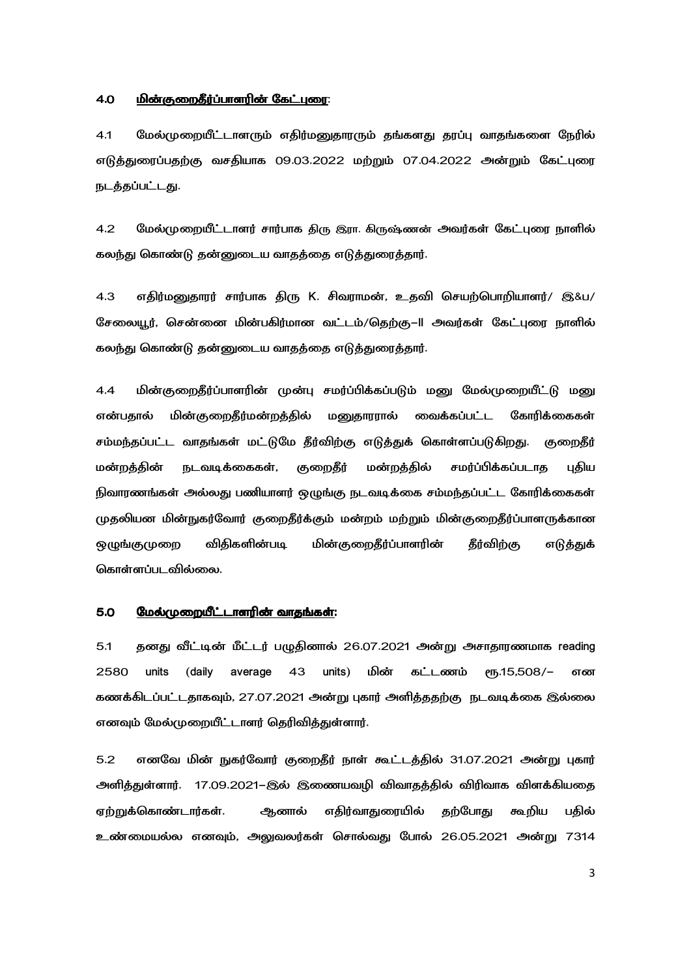#### <u>4.0 மின்குறைதீர்ப்பாளரின் கேட்புரை:</u>

4.1 மேல்முறையீட்டாளரும் எதிர்மனுதாரரும் தங்களது தரப்பு வாதங்களை நேரில் எடுத்துரைப்பதற்கு வசதியாக 09.03.2022 மற்றும் 07.04.2022 அன்றும் கேட்புரை நடத்தப்பட்டது.

4.2 மேல்முறையீட்டாளர் சார்பாக திரு இரா. கிருஷ்ணன் அவர்கள் கேட்புரை நாளில் கலந்து கொண்டு தன்னுடைய வாதத்தை எடுத்துரைத்தார்.

4.3 எதிர்மனுதாரர் சார்பாக திரு K. சிவராமன், உதவி செயற்பொறியாளர்/ இ&ப/ சேலையூர், சென்னை மின்பகிர்மான வட்டம்/தெற்கு–II அவர்கள் கேட்புரை நாளில் கலந்து கொண்டு தன்னுடைய வாதத்தை எடுத்துரைத்தார்.

4.4 மின்குறைதீர்ப்பாளரின் முன்பு சமர்ப்பிக்கப்படும் மனு மேல்முறையீட்டு மனு என்பதால் மின் குறைதீர்மன்றத்தில் மனுதாரரால் வைக்கப்பட்ட கோரிக்கைகள் சம்மந்தப்பட்ட வாதங்கள் மட்டுமே தீர்விற்கு எடுத்துக் கொள்ளப்படுகிறது. குறைதீர் மன்றத்தின் நடவடிக்கைகள், குறைதீர் மன்றத்தில் சமர்ப்பிக்கப்படாத புதிய நிவாரணங்கள் அல்லது பணியாளர் ஒழுங்கு நடவடிக்கை சம்மந்தப்பட்ட கோரிக்கைகள் முதலியன மின்நுகர்வோர் குறைதீர்க்கும் மன்றம் மற்றும் மின்குறைதீர்ப்பாளருக்கான ஒழுங்குமுறை விதிகளின்படி படி மின்குறைதீர்ப்பாளரின் தீர்விற்கு எடுத்துக் கொள்ளப்படவில்லை.

#### 5.0 
9\_- 4)W 4)W:

5.1 தனது வீட்டின் மீட்டர் பழுதினால் 26.07.2021 அன்று அசாதாரணமாக reading 2580 units (daily average 43 units) மின் கட்டணம் ரூ.15,508/- என கணக்கிடப்பட்டதாகவும், 27.07.2021 அன்று புகார் அளித்ததற்கு நடவடிக்கை இல்லை எனவும் மேல்முறையீட்டாளர் தெரிவித்துள்ளார்.

5.2 எனவே மின் நுகர்வோர் குறைதீர் நாள் கூட்டத்தில் 31.07.2021 அன்று புகார் அளித்துள்ளார். 17.09.2021–இல் இணையவழி விவாதத்தில் விரிவாக விளக்கியதை ஏற்றுக்கொண்டார்கள். ஆனால் எதிர்வாதுரையில் தற்போது கூறிய பதில் உண்மையல்ல எனவும், அலுவலர்கள் சொல்வது போல் 26.05.2021 அன்று 7314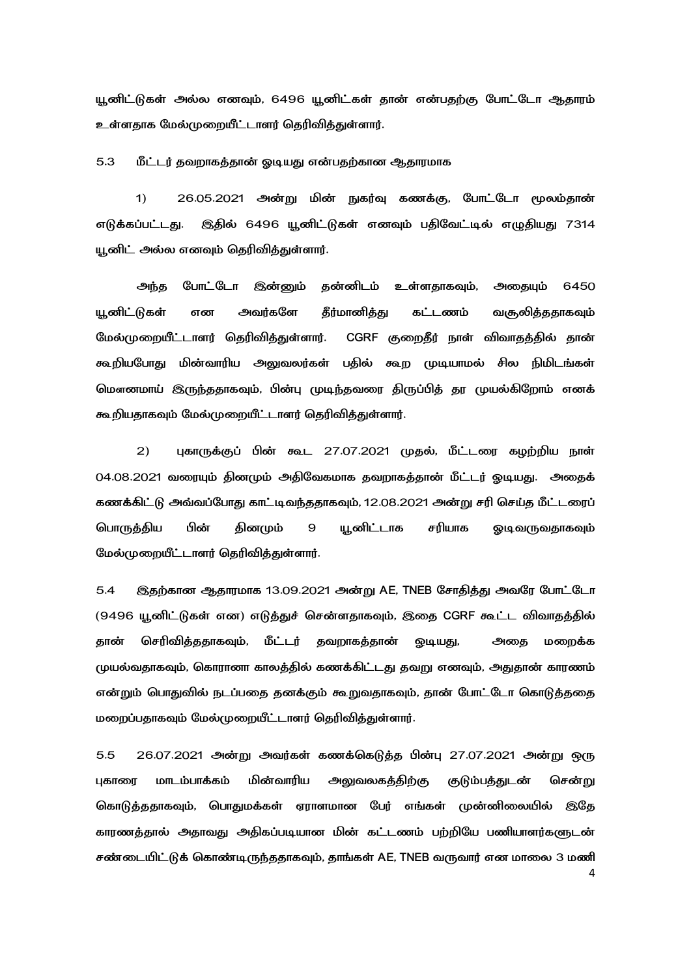யூனிட்டுகள் அல்ல எனவும், 6496 யூனிட்கள் தான் என்பதற்கு போட்டோ ஆதாரம் உள்ளதாக மேல்முறையீட்டாளர் தெரிவிக்துள்ளார்.

5.3 மீட்டர் தவறாகத்தான் ஓடியது என்பதற்கான ஆதாரமாக

1) 26.05.2021 அன்று மின் நுகர்வு கணக்கு, யோட்டோ மூலம்தான் எடுக்கப்பட்டது. இதில் 6496 யூனிட்டுகள் எனவும் பதிவேட்டில் எழுதியது 7314 யூனிட் அல்ல எனவும் தெரிவித்துள்ளார்.

அந்த போட்டோ இன்னும் தன்னிடம் உள்ளதாகவும், அதையும் 6450 யனிட்டுகள் என அவர்களே கீர்மானிக்கு கட்டணம் வசுலிக்ககாகவம் மேல்முறையீட்டாளர் தெரிவித்துள்ளார். CGRF குறைதீர் நாள் விவாதத்தில் தான் கூறியபோது மின்வாரிய அலுவலர்கள் பதில் கூற முடியாமல் சில நிமிடங்கள் மௌனமாய் இருந்ததாகவும், பின்பு முடிந்தவரை திருப்பித் தர முயல்கிறோம் எனக் கூறியதாகவும் மேல்முறையீட்டாளர் தெரிவித்துள்ளார்.

2) புகாருக்குப் பின் கூட 27.07.2021 முதல், மீட்டரை கழற்றிய நாள் 04.08.2021 வரையும் தினமும் அதிவேகமாக தவறாகத்தான் மீட்டர் ஓடியது. அதைக் கணக்கிட்டு அவ்வப்போது காட்டிவந்ததாகவும், 12.08.2021 அன்று சரி செய்த மீட்டரைப் பொருக்கிய பின் தினமும் 9 யூனிட்டாக சரியாக ஓடிவருவதாகவும் மேல்முறையீட்டாளர் தெரிவிக்குள்ளார்.

5.4 இதற்கான ஆதாரமாக 13.09.2021 அன்று AE, TNEB சோதித்து அவரே போட்டோ (9496 யூனிட்டுகள் என) எடுத்துச் சென்ளதாகவும், இதை CGRF கூட்ட விவாதத்தில் கான் செரிவித்ததாகவும், மீட்டர் தவறாகத்தான் ஒடியது, அதை மறைக்க முயல்வதாகவும், கொரானா காலத்தில் கணக்கிட்டது தவறு எனவும், அதுதான் காரணம் என்றும் பொதுவில் நடப்பதை தனக்கும் கூறுவதாகவும், தான் போட்டோ கொடுத்ததை மறைப்பதாகவும் மேல்முறையீட்டாளர் தெரிவித்துள்ளார்.

4 5.5 26.07.2021 அன்று அவர்கள் கணக்கெடுத்த பின்பு 27.07.2021 அன்று ஒரு புகாரை மாடம்பாக்கம் மின்வாரிய அலுவலகத்திற்கு குடும்பத்துடன் **் சென்று** கொடுத்ததாகவும், பொதுமக்கள் ஏராளமான பேர் எங்கள் முன்னிலையில் இதே காரணத்தால் அதாவது அதிகப்படியான மின் கட்டணம் பற்றியே பணியாளர்களுடன் சண்டையிட்டுக் கொண்டிருந்ததாகவும், தாங்கள் AE, TNEB வருவார் என மாலை 3 மணி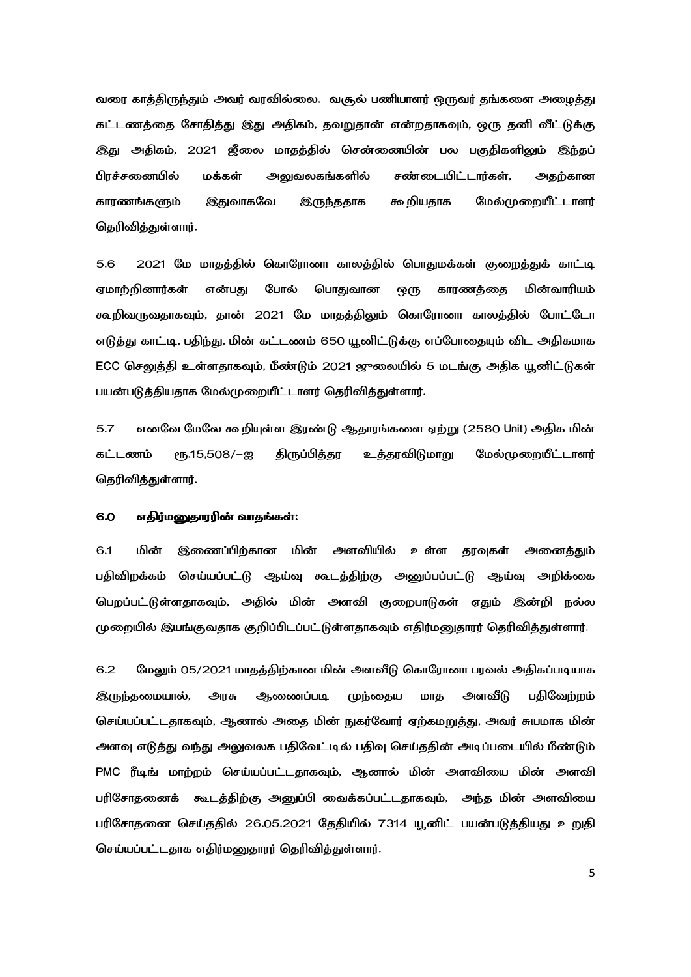வரை காத்திருந்தும் அவர் வரவில்லை. வசூல் பணியாளர் ஒருவர் தங்களை அழைத்து கட்டணத்தை சோதித்து இது அதிகம், தவறுதான் என்றதாகவும், ஒரு தனி வீட்டுக்கு இது அதிகம், 2021 ஜீலை மாதத்தில் சென்னையின் பல பகுதிகளிலும் இந்தப் பிரச்சனையில் மக்கள் அலுவலகங்களில் சண்டையிட்டார்கள், அதற்கான காரணங்களும் இதுவாகவே இருந்ததாக கூறியதாக மேல்முறையீட்டாளர் தெரிவித்துள்ளார்.

5.6 2021 மே மாதத்தில் கொரோனா காலத்தில் பொதுமக்கள் குறைத்துக் காட்டி எமாற்றினார்கள் என்பகு போல் பொதுவான ஒரு காரணத்தை மின்வாரியம் கூறிவருவதாகவும், தான் 2021 மே மாதத்திலும் கொரோனா காலத்தில் போட்டோ எடுத்து காட்டி, பதிந்து, மின் கட்டணம் 650 யூனிட்டுக்கு எப்போதையும் விட அதிகமாக ECC செலுத்தி உள்ளதாகவும், மீண்டும் 2021 ஜுலையில் 5 மடங்கு அதிக யூனிட்டுகள் பயன்படுத்தியதாக மேல்முறையீட்டாளர் தெரிவித்துள்ளார்.

5.7 எனவே மேலே கூறியுள்ள இரண்டு ஆதாரங்களை ஏற்று (2580 Unit) அதிக மின் கட்டணம் ரூ.15,508/–ஐ திருப்பித்தர உத்தரவிடுமாறு மேல்முறையீட்டாளர் தெரிவித்துள்ளார்.

#### 6.0 எதிர்மனுதாரரின் வாதங்கள்:

6.1 மின் இணைப்பிற்கான மின் அளவியில் உள்ள தரவுகள் அனைத்தும் பதிவிறக்கம் செய்யப்பட்டு ஆய்வு கூடத்திற்கு அனுப்பப்பட்டு ஆய்வு அறிக்கை பெறப்பட்டுள்ளதாகவும், அதில் மின் அளவி குறைபாடுகள் ஏதும் இன்றி நல்ல முறையில் இயங்குவதாக குறிப்பிடப்பட்டுள்ளதாகவும் எதிர்மனுதாரர் தெரிவித்துள்ளார்.

6.2 மேலும் 05/2021 மாதத்திற்கான மின் அளவீடு கொரோனா பரவல் அதிகப்படியாக இருந்தமையால், அரசு ஆணைப்படி முந்தைய மாத அளவீடு பதிவேற்றம் செய்யப்பட்டதாகவும், ஆனால் அதை மின் நுகர்வோர் ஏற்கமறுத்து, அவர் சுயமாக மின் அளவு எடுத்து வந்து அலுவலக பதிவேட்டில் பதிவு செய்ததின் அடிப்படையில் மீண்டும் PMC ரீடிங் மாற்றம் செய்யப்பட்டதாகவும், ஆனால் மின் அளவியை மின் அளவி பரிசோதனைக் கூடத்திற்கு அனுப்பி வைக்கப்பட்டதாகவும், அந்த மின் அளவியை பரிசோதனை செய்ததில் 26.05.2021 தேதியில் 7314 யூனிட் பயன்படுத்தியது உறுதி செய்யப்பட்டதாக எதிர்மனுதாரர் தெரிவித்துள்ளார்.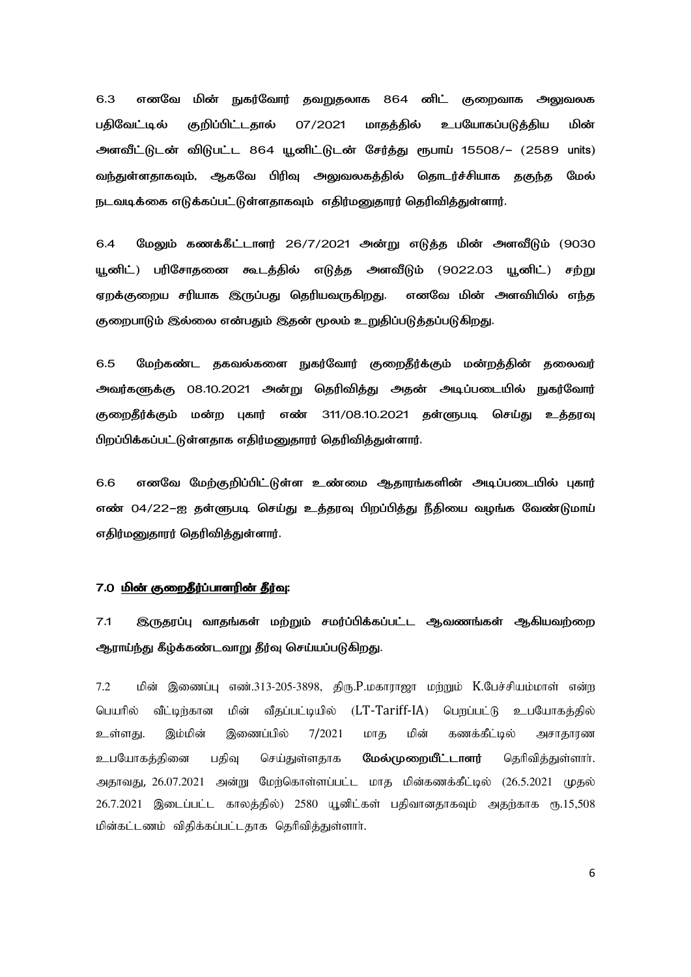$6.3$ எனவே மின் நுகர்வோர் தவறுதலாக 864 னிட் குறைவாக அலுவலக 07/2021 பகிவேட்டில் குறிப்பிட்டதால் மாதத்தில் உபயோகப்படுக்கிய மின் அளவீட்டுடன் விடுபட்ட 864 யூனிட்டுடன் சேர்த்து ரூபாய் 15508/– (2589 units) வந்துள்ளதாகவும், ஆகவே பிரிவு அலுவலகத்தில் தொடர்ச்சியாக தகுந்த மேல் நடவடிக்கை எடுக்கப்பட்டுள்ளகாகவும் எகிர்மனுகாரர் கெரிவிக்குள்ளார்.

மேலும் கணக்கீட்டாளர் 26/7/2021 அன்று எடுத்த மின் அளவீடும் (9030 6.4 யூனிட்) பரிசோதனை கூடத்தில் எடுத்த அளவீடும் (9022.03 யூனிட்) சற்று ஏறக்குறைய சரியாக இருப்பது தெரியவருகிறது. எனவே மின் அளவியில் எந்த குறைபாடும் இல்லை என்பதும் இதன் மூலம் உறுதிப்படுத்தப்படுகிறது.

 $6.5$ மேற்கண்ட தகவல்களை நுகர்வோர் குறைதீர்க்கும் மன்றத்தின் தலைவர் அவர்களுக்கு 08.10.2021 அன்று தெரிவித்து அதன் அடிப்படையில் நுகர்வோர் குறைதீர்க்கும் மன்ற புகார் எண் 311/08.10.2021 தள்ளுபடி செய்து உத்தரவு பிறப்பிக்கப்பட்டுள்ளதாக எதிர்மனுதாரர் தெரிவித்துள்ளார்.

6.6 எனவே மேற்குறிப்பிட்டுள்ள உண்மை ஆதாரங்களின் அடிப்படையில் புகார் எண் 04/22–ஐ தள்ளுபடி செய்து உத்தரவு பிறப்பித்து நீதியை வழங்க வேண்டுமாய் எதிர்மனுதாரர் தெரிவித்துள்ளார்.

### 7.0 மின் குறைதீர்ப்பாளரின் தீர்வு:

 $7.1$ இருதரப்பு வாதங்கள் மற்றும் சமர்ப்பிக்கப்பட்ட ஆவணங்கள் ஆகியவற்றை ஆராய்ந்து கீழ்க்கண்டவாறு தீர்வு செய்யப்படுகிறது.

மின் இணைப்பு எண்.313-205-3898, கிரு.P.மகாராஜா மற்றும் K.பேச்சியம்மாள் என்று 7.2 மின் பெயரில் வீட்டிர்கான வீதப்பட்டியில் (LT-Tariff-IA) பெறப்பட்டு உபயோகத்தில் இணைப்பில் மின் கணக்கீட்டில் உள்ளது. இம்மின் 7/2021 மாக அசாதாரண உபயோகக்கினை பகிவு செய்துள்ளதாக மேல்முறையீட்டாளர் தெரிவிக்குள்ளார். அதாவது, 26.07.2021 அன்று மேற்கொள்ளப்பட்ட மாத மின்கணக்கீட்டில் (26.5.2021 முதல் 26.7.2021 இடைப்பட்ட காலத்தில்) 2580 யூனிட்கள் பதிவானதாகவும் அதற்காக ரூ.15,508 மின்கட்டணம் விதிக்கப்பட்டதாக தெரிவித்துள்ளார்.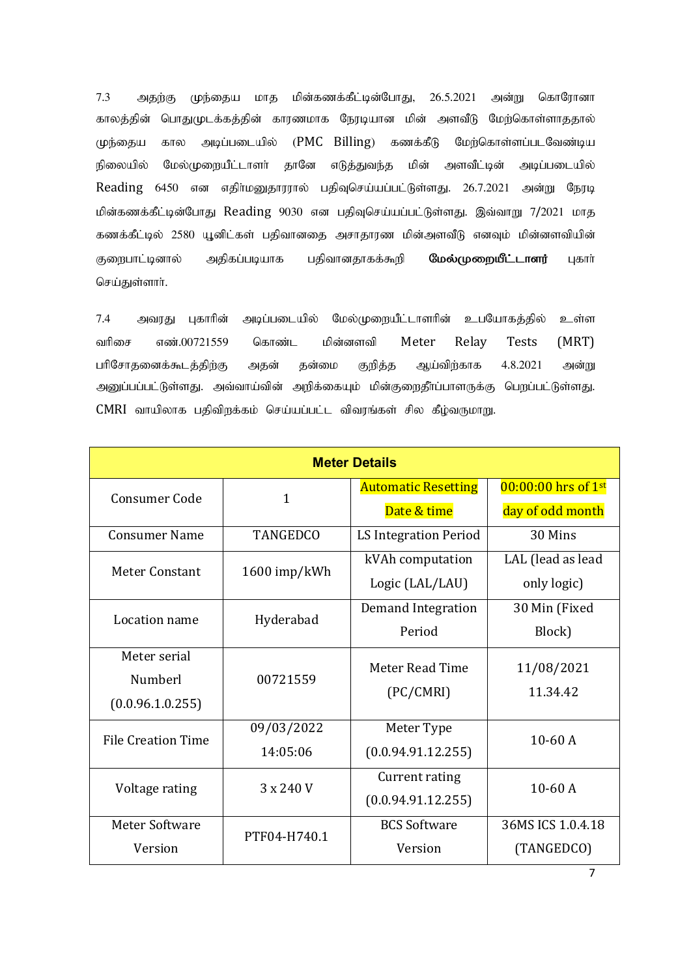$7.3$ முந்தைய மாக மின்கணக்கீட்டின்போது, 26.5.2021 அன்று கொரோனா அதற்கு காலத்தின் பொதுமுடக்கத்தின் காரணமாக நேரடியான மின் அளவீடு மேற்கொள்ளாததால் (PMC Billing) கணக்கீடு மேற்கொள்ளப்படவேண்டிய முந்தைய கால அடிப்படையில் நிலையில் மேல்முறையீட்டாளர் தானே மின் எடுத்துவந்த அளவீட்டின் அடிப்படையில் Reading 6450 என எதிர்மனுதாரரால் பதிவுசெய்யப்பட்டுள்ளது. 26.7.2021 அன்று நேரடி மின்கணக்கீட்டின்போது Reading 9030 என பதிவுசெய்யப்பட்டுள்ளது. இவ்வாறு 7/2021 மாத கணக்கீட்டில் 2580 யூனிட்கள் பதிவானதை அசாதாரண மின்அளவீடு எனவும் மின்னளவியின் பதிவானதாகக்கூறி குறைபாட்டினால் அதிகப்படியாக மேல்முறையீட்டாளர் புகார் செய்துள்ளாா்.

அடிப்படையில் மேல்முறையீட்டாளரின் உபயோகத்தில் 7.4 அவரது புகாரின் உள்ள எண்.00721559 மின்னளவி Meter Relay  $(MRT)$ வரிசை கொண்ட Tests பரிசோதனைக்கூடத்திற்கு அகன் சுன்மை குறித்த ஆய்விர்காக 4.8.2021 அன்று அனுப்பப்பட்டுள்ளது. அவ்வாய்வின் அறிக்கையும் மின்குறைதீா்ப்பாளருக்கு பெறப்பட்டுள்ளது. CMRI வாயிலாக பதிவிறக்கம் செய்யப்பட்ட விவரங்கள் சில கீழ்வருமாறு.

| <b>Meter Details</b>      |                 |                            |                       |  |  |  |
|---------------------------|-----------------|----------------------------|-----------------------|--|--|--|
| <b>Consumer Code</b>      | $\mathbf{1}$    | <b>Automatic Resetting</b> | $00:00:00$ hrs of 1st |  |  |  |
|                           |                 | Date & time                | day of odd month      |  |  |  |
| <b>Consumer Name</b>      | <b>TANGEDCO</b> | LS Integration Period      | 30 Mins               |  |  |  |
| Meter Constant            | 1600 imp/kWh    | kVAh computation           | LAL (lead as lead     |  |  |  |
|                           |                 | Logic (LAL/LAU)            | only logic)           |  |  |  |
| Location name             | Hyderabad       | Demand Integration         | 30 Min (Fixed         |  |  |  |
|                           |                 | Period                     | Block)                |  |  |  |
| Meter serial              |                 | Meter Read Time            | 11/08/2021            |  |  |  |
| Numberl                   | 00721559        | (PC/CMRI)                  | 11.34.42              |  |  |  |
| (0.0.96.1.0.255)          |                 |                            |                       |  |  |  |
| <b>File Creation Time</b> | 09/03/2022      | Meter Type<br>$10-60A$     |                       |  |  |  |
|                           | 14:05:06        | (0.0.94.91.12.255)         |                       |  |  |  |
| Voltage rating            | 3 x 240 V       | Current rating             | $10-60A$              |  |  |  |
|                           |                 | (0.0.94.91.12.255)         |                       |  |  |  |
| <b>Meter Software</b>     | PTF04-H740.1    | <b>BCS Software</b>        | 36MS ICS 1.0.4.18     |  |  |  |
| Version                   |                 | Version                    | (TANGEDCO)            |  |  |  |

 $\overline{7}$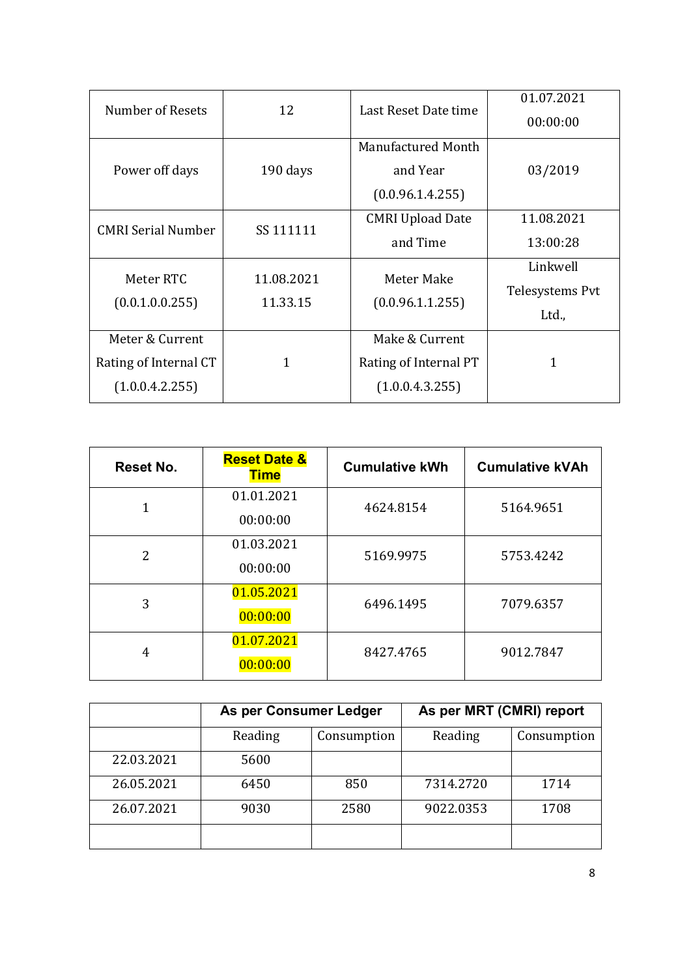| Number of Resets                              | 12         | Last Reset Date time    | 01.07.2021      |  |
|-----------------------------------------------|------------|-------------------------|-----------------|--|
|                                               |            |                         | 00:00:00        |  |
|                                               |            | Manufactured Month      |                 |  |
| Power off days                                | 190 days   | and Year                | 03/2019         |  |
|                                               |            | (0.0.96.1.4.255)        |                 |  |
| <b>CMRI Serial Number</b>                     | SS 111111  | <b>CMRI Upload Date</b> | 11.08.2021      |  |
|                                               |            | and Time                | 13:00:28        |  |
| Meter RTC                                     | 11.08.2021 | Meter Make              | Linkwell        |  |
| (0.0.1.0.0.255)                               | 11.33.15   |                         | Telesystems Pvt |  |
|                                               |            | (0.0.96.1.1.255)        | Ltd.,           |  |
| Meter & Current                               |            | Make & Current          |                 |  |
| Rating of Internal CT<br>1<br>(1.0.0.4.2.255) |            | Rating of Internal PT   | 1               |  |
|                                               |            | (1.0.0.4.3.255)         |                 |  |

| Reset No.      | <b>Reset Date &amp;</b><br><b>Time</b> | <b>Cumulative kWh</b> | <b>Cumulative kVAh</b> |  |
|----------------|----------------------------------------|-----------------------|------------------------|--|
| 1              | 01.01.2021                             | 4624.8154             | 5164.9651              |  |
|                | 00:00:00                               |                       |                        |  |
| $\overline{2}$ | 01.03.2021                             | 5169.9975             | 5753.4242              |  |
|                | 00:00:00                               |                       |                        |  |
| 3              | 01.05.2021                             | 6496.1495             | 7079.6357              |  |
|                | 00:00:00                               |                       |                        |  |
| 4              | 01.07.2021                             | 8427.4765             | 9012.7847              |  |
|                | 00:00:00                               |                       |                        |  |

|            | As per Consumer Ledger |             | As per MRT (CMRI) report |             |
|------------|------------------------|-------------|--------------------------|-------------|
|            | Reading                | Consumption | Reading                  | Consumption |
| 22.03.2021 | 5600                   |             |                          |             |
| 26.05.2021 | 6450                   | 850         | 7314.2720                | 1714        |
| 26.07.2021 | 9030                   | 2580        | 9022.0353                | 1708        |
|            |                        |             |                          |             |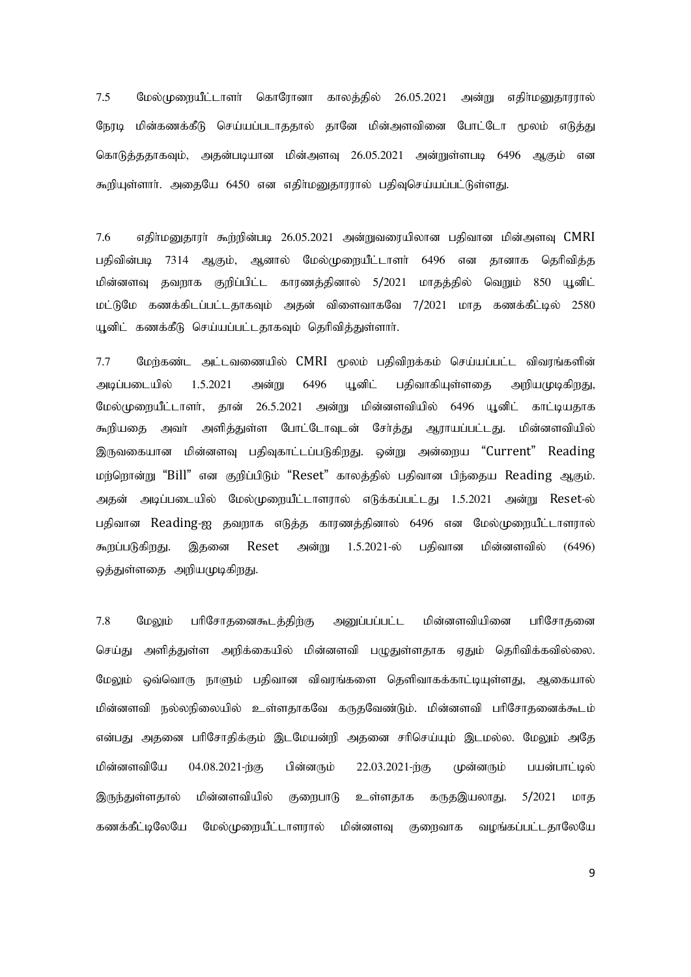*8/6! Olz<LjxbQm<miti<! ogiOviei! gizk<kqz<! 37/16/3132! ne<X! wkqi<lEkivviz<!* நேரடி மின்கணக்கீடு செய்யப்படாததால் தானே மின்அளவினை போட்டோ மூலம் எடுத்து கொடுத்ததாகவும், அதன்படியான மின்அளவு 26.05.2021 அன்றுள்ளபடி 6496 ஆகும் என கூறியுள்ளார். அதையே 6450 என எதிர்மனுதாரரால் பதிவுசெய்யப்பட்டுள்ளது.

*8/7! wkqi<lEkivi<!%x<xqe<hc!37/16/3132!ne<Xujvbqzie!hkquie!lqe<ntU!*CMRI பதிவின்படி 7314 ஆகும், ஆனால் மேல்முறையீட்டாளர் 6496 என தானாக தெரிவித்த *பி*ன்னளவு தவறாக குறிப்பிட்ட காரணத்தினால் 5/2021 மாதத்தில் வெறும் 850 யூனிட் *lm<MOl! g{g<gqmh<hm<mkigUl<! nke<! uqjtuigOu! 8*/*3132! lik! g{g<gQm<cz<! 3691!*  $\mu$ னிட் கணக்கீடு செய்யப்பட்டதாகவும் தெரிவித்துள்ளார்.

 $7.7$  மேற்கண்ட அட்டவணையில்  $\sf{CMRI}$  மூலம் பதிவிறக்கம் செய்யப்பட்ட விவரங்களின் அடிப்படையில் 1.5.2021 அன்று 6496 யூனிட் பதிவாகியுள்ளதை அறியமுடிகி<u>றது</u>, மேல்முறையீட்டாளர், தான் 26.5.2021 அன்று மின்னளவியில் 6496 யூனிட் காட்டியதாக கூறியதை அவர் அளித்துள்ள போட்டோவுடன் சேர்த்து ஆராயப்பட்டது. மின்னளவியில் *-Vujgbie! lqe<etU! hkqUgim<mh<hMgqxK/! ye<X! ne<jxb!* "Current" Reading மற்றொன்று "Bill" என குறிப்பிடும் "Reset" காலத்தில் பதிவான பிந்தைய Reading ஆகும். அதன் அடிப்படையில் மேல்முறையீட்டாளரால் எடுக்கப்பட்டது 1.5.2021 அன்று Reset-ல் பதிவான Reading-ஐ தவறாக எடுத்த காரணத்தினால் 6496 என மேல்முறையீட்டாளரால் கூறப்படுகிறது. இதனை Reset அன்று 1.5.2021-ல் பதிவான மின்னளவில் (6496) ஒத்துள்ளதை அறியமுடிகி<u>றத</u>ு.

7.8 மேலும் பரிசோதனைகூடத்திற்கு அனுப்பப்பட்ட மின்னளவியினை பரிசோதனை செய்து அளித்துள்ள அறிக்கையில் மின்னளவி பழுதுள்ளதாக ஏதும் தெரிவிக்கவில்லை. மேலும் ஒவ்வொரு நாளும் பதிவான விவரங்களை தெளிவாகக்காட்டியுள்ளது, ஆகையால் மின்னளவி நல்லநிலையில் உள்ளதாகவே கருதவேண்டும். மின்னளவி பரிசோதனைக்கூடம் என்பது அதனை பரிசோதிக்கும் இடமேயன்றி அதனை சரிசெய்யும் இடமல்ல. மேலும் அதே மின்னளவியே 04.08.2021-<del>ற்கு பின்னரும் 22.03.2021-ற்கு முன்னரும் பயன்பாட்டில்</del> இருந்துள்ளதால் மின்னளவியில் குறைபாடு உள்ளதாக கருதஇயலாது. 5/2021 மாத கணக்கீட்டிலேயே மேல்முறையீட்டாளரால் மின்னளவு குறைவாக வழங்கப்பட்டதாலேயே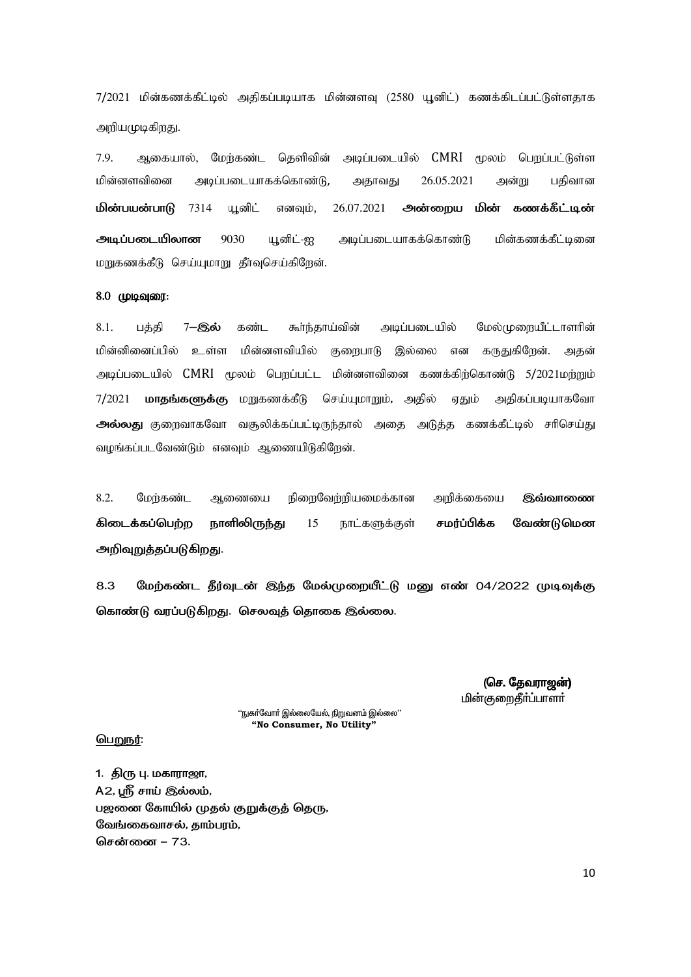7/2021 மின்கணக்கீட்டில் அகிகப்படியாக மின்னளவு (2580 யுனிட்) கணக்கிடப்பட்டுள்ளகாக அறியமுடிகிறது.

7.9. ஆகையால், மேற்கண்ட தெளிவின் அடிப்படையில் CMRI மூலம் பெறப்பட்டுள்ள மின்னளவினை அடிப்படையாகக்கொண்டு, 26.05.2021 அதாவது அன்று பதிவான **மின்பயன்பாடு** 7314 யூனிட் எனவும், 26.07.2021 அன்றைய மின் கணக்கீட்டின் அடிப்படையிலான 9030 யூனிட்-ஐ அடிப்படையாகக்கொண்டு மின்கணக்கீட்டினை மறுகணக்கீடு செய்யுமாறு தீர்வுசெய்கிறேன்.

#### 8.0 முடிவுரை:

 $8.1.$ கூர்ந்தாய்வின் அடிப்படையில் மேல்முறையீட்டாளரின் பக்கி 7-இல் கண்ட மின்னினைப்பில் உள்ள மின்னளவியில் குறைபாடு இல்லை கருதுகிறேன். என அகன் அடிப்படையில் CMRI மூலம் பெறப்பட்ட மின்னளவினை கணக்கிற்கொண்டு 5/2021மற்றும் 7/2021 **மாதங்களுக்கு** மறுகணக்கீடு செய்யுமாறும், அதில் ஏதும் அதிகப்படியாகவோ அல்லது குறைவாகவோ வசூலிக்கப்பட்டிருந்தால் அதை அடுத்த கணக்கீட்டில் சரிசெய்து வழங்கப்படவேண்டும் எனவும் ஆணையிடுகிறேன்.

8.2. நிறைவேற்றியமைக்கான மேர்கண்ட ஆணையை அறிக்கையை இவ்வாணை வேண்டுமென சமர்ப்பிக்க கிடைக்கப்பெற்ற நாளிலிருந்து 15 நாட்களுக்குள் அறிவுறுத்தப்படுகிறது.

8.3 மேற்கண்ட தீர்வுடன் இந்த மேல்முறையீட்டு மனு எண் 04/2022 முடிவுக்கு கொண்டு வரப்படுகிறது. செலவுத் தொகை இல்லை.

> (செ. தேவராஜன்) மின்குறைதீர்ப்பாளர்

''நுகா்வோா் இல்லையேல், நிறுவனம் இல்லை'<sup>:</sup> "No Consumer, No Utility"

#### <u>பெறுநர்:</u>

1. திரு பு. மகாராஜா, A2, புநீ சாய் இல்லம், பஜனை கோயில் முதல் குறுக்குத் தெரு, வேங்கைவாசல், காம்பாம். சென்னை – 73.